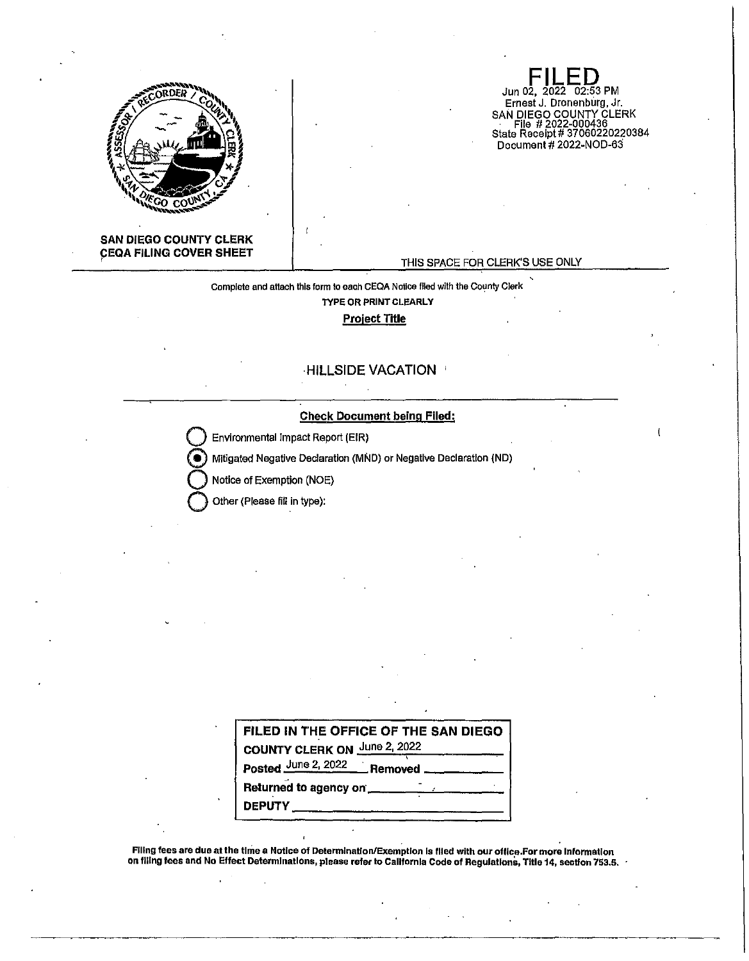

## **SAN DIEGO COUNTY CLERK CEQA FILING COVER SHEET**

#### THIS SPACE FOR CLERK'S USE ONLY

**FILED**  Jun 02, 2022 02:53 PM Ernest J. Dronenburg, Jr. SAN DIEGO COUNTY CLERK File # 2022-000436 State Receipt# 37060220220384 Document# 2022-NOD-63

Complete and attach this form to each CEQA Notice filed with the County Clerk

**TYPE OR PRINT CLEARLY** 

## **Project Title**

# **HILLSIDE VACATION** '

## **Check Document being Flied:**

**Environmental Impact Report (EIR)** 

@ Mitigated Negative Declaration (MND) or Negative Declaration (ND)

**Q** Notice of Exemption (NOE)

**Other (Please fill in type):** 

| FILED IN THE OFFICE OF THE SAN DIEGO |
|--------------------------------------|
| COUNTY CLERK ON June 2, 2022         |
| Posted June 2, 2022 Removed          |
| Returned to agency on                |
| <b>DEPUTY</b>                        |

.<br>Filing fees are due at the time a Notice of Determination/Exemption is filed with our office.For more information on filing fees and No Effect Determinations, please refer to California Code of Regulations, Title 14, section 753.5.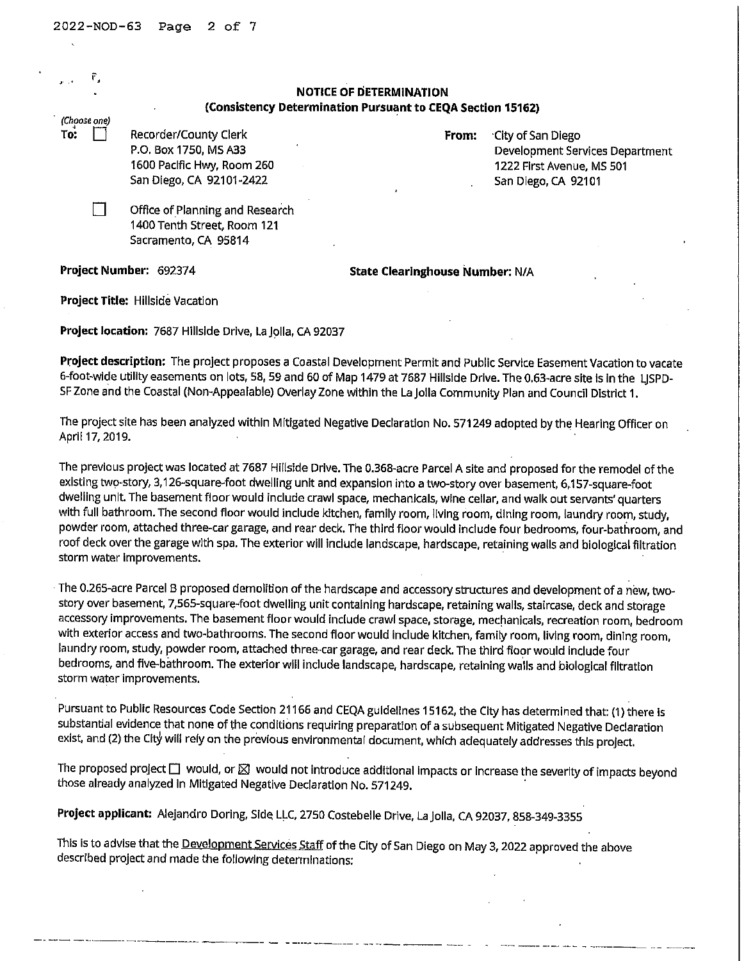| $\mathbf{r}$ . $\mathbf{r}$ |              |                                 | <b>NOTICE OF DETERMINATION</b>                             |                                        |
|-----------------------------|--------------|---------------------------------|------------------------------------------------------------|----------------------------------------|
|                             |              |                                 | (Consistency Determination Pursuant to CEQA Section 15162) |                                        |
|                             | (Choose one) |                                 |                                                            |                                        |
| То:                         |              | Recorder/County Clerk           | From:                                                      | City of San Diego                      |
|                             |              | P.O. Box 1750, MS A33           |                                                            | <b>Development Services Department</b> |
|                             |              | 1600 Pacific Hwy, Room 260      |                                                            | 1222 First Avenue, MS 501              |
|                             |              | San Diego, CA 92101-2422        |                                                            | San Diego, CA 92101                    |
|                             |              | Office of Planning and Research |                                                            |                                        |
|                             |              | 1400 Tenth Street, Room 121     |                                                            |                                        |
|                             |              | Sacramento, CA 95814            |                                                            |                                        |
|                             |              | Project Number: 692374          | <b>State Clearinghouse Number: N/A</b>                     |                                        |

**Project Title:** Hillside Vacation

Project location: 7687 Hillside Drive, La Jolla, CA 92037

**Project description:** The project proposes a Coastal Development Permit and Public Service Easement Vacation to vacate 6-foot-wide utility easements on lots, 58, 59 and 60 of Map 1479 at 7687 Hillside Drive. The 0.63-acre site is in the LJSPD-SF Zone and the Coastal (Non-Appealable) Overlay Zone within the La Jolla Community Plan and Council District 1.

The project site has been analyzed within Mitigated Negative Declaration No. 571249 adopted by the Hearing Officer on April 17, 2019.

The previous project was located at 7687 Hillside Drive. The 0.368-acre Parcel A site and proposed for the remodel of the existing two-story, 3, 126-square-foot dwelling unit and expansion into a two-story over basement, 6,157-square-foot dwelling unit. The basement floor would include crawl space, mechanicals, wine cellar, and walk out servants' quarters with full bathroom. The second floor would include kitchen, family room, living room, dining room, laundry room, study, powder room, attached three-car garage, and rear deck. The third floor would Include four bedrooms, four-bathroom, and roof deck over the garage with spa. The exterior will include landscape, hardscape, retaining walls and biological filtration storm water Improvements.

The 0.265-acre Parcel B proposed demolition of the hardscape and accessory structures and development of a new, twostory over basement, 7,565-square-foot dwelling unit containing hardscape, retaining walls, staircase, deck and storage accessory improvements. The basement floor would include crawl space, storage, mechanicals, recreation room, bedroom with exterior access and two-bathrooms. The second floor would include kitchen, family room, living room, dining room, laundry room, study, powder room, attached three-car garage, and rear deck. The third floor would include four bedrooms, and five-bathroom. The exterior will include landscape, hardscape, retaining walls and biological filtration storm water Improvements.

Pursuant to Public Resources Code Section 21166 and CEQA guidelines 15162, the City has determined that: (1) there is substantial evidence that none of the conditions requiring preparation of a subsequent Mitigated Negative Declaration exist, and (2) the City will rely on the previous environmental document, which adequately addresses this project.

The proposed project  $\Box$  would, or  $\boxtimes$  would not introduce additional impacts or increase the severity of impacts beyond those already analyzed in Mitigated Negative Declaration No. 571249.

**Project applicant:** Alejandro Doring, Side LLC, 2750 Costebelle Drive, La Jolla, CA 92037, 858-349-3355

This is to advise that the Development Services Staff of the City of San Diego on May 3, 2022 approved the above described project and made the following determinations: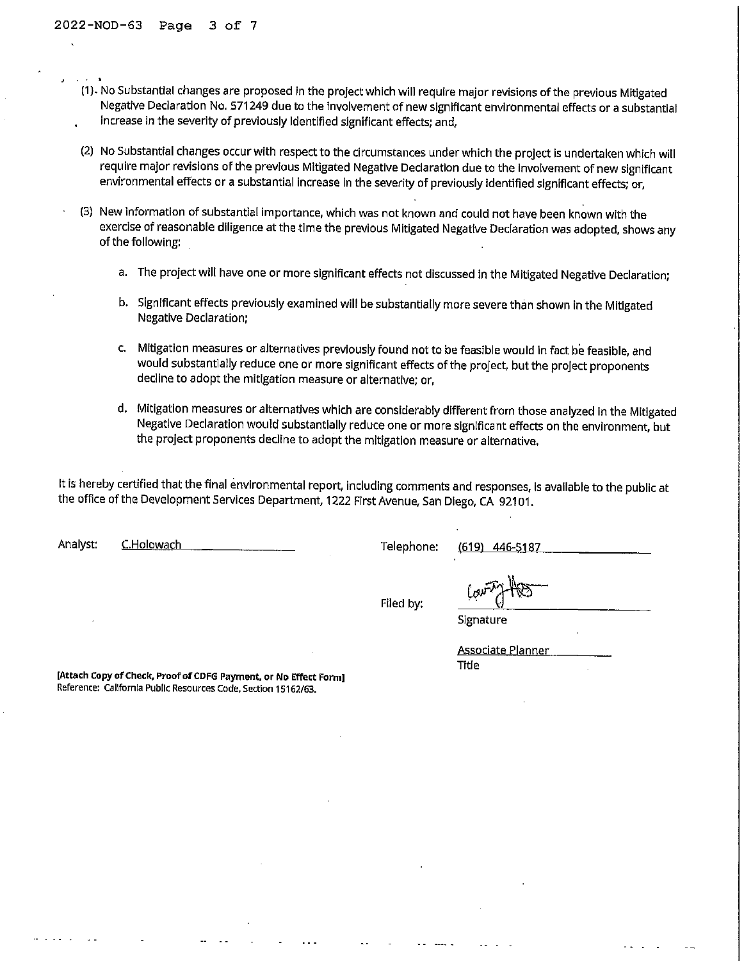- (1). No Substantial changes are proposed in the project which will require major revisions of the previous Mitigated Negative Declaration No. 571249 due to the involvement of new significant environmental effects or a substantial increase In the severity of previously Identified significant effects; and,
- (2) No Substantial changes occur with respect to the circumstances under which the project Is undertaken which will require major revisions of the previous Mitigated Negative Declaration due to the Involvement of new significant environmental effects or a substantial increase in the severity of previously identified significant effects; or,
- (3) New information of substantial importance, which was not known and could not have been known with the exercise of reasonable diligence at the time the previous Mitigated Negative Declaration was adopted, shows any of the following:
	- a. The project will have one or more significant effects not discussed in the Mitigated Negative Declaration;
	- b. Significant effects previously examined will be substantially more severe than shown in the Mitigated Negative Declaration;
	- c. Mitigation measures or alternatives previously found not to be feasible would in fact be feasible, and would substantially reduce one or more significant effects of the project, but the project proponents decline to adopt the mitigation measure or alternative; or,
	- d. Mitigation measures or alternatives which are considerably different from those analyzed in the Mitigated Negative Declaration would substantially reduce one or more significant effects on the environment, but the project proponents decline to adopt the mitigation measure or alternative.

It is hereby certified that the final environmental report, including comments and responses, Is available to the public at the office of the Development Services Department, 1222 First Avenue, San Diego, CA 92101.

| لتعليمي<br>Signature                     |
|------------------------------------------|
| <b>Associate Planner</b><br><b>Title</b> |
|                                          |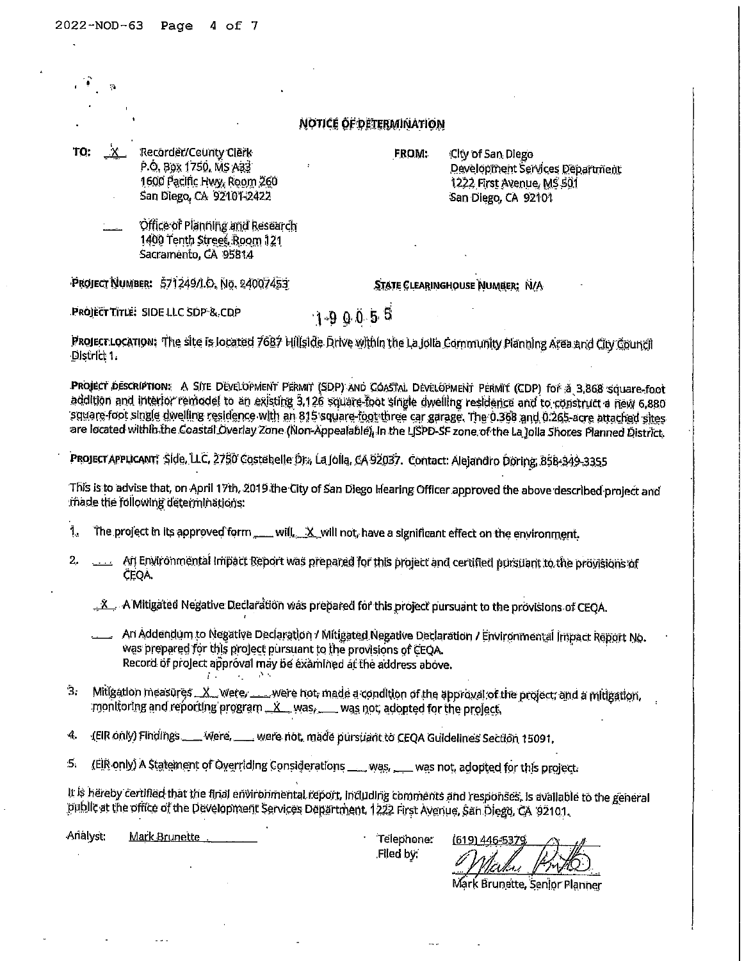$\ddot{\phantom{a}}$ 

|     | Ģ.                                                                                                                                                                                                                                                                                                                                                                                                                                                                                                   |
|-----|------------------------------------------------------------------------------------------------------------------------------------------------------------------------------------------------------------------------------------------------------------------------------------------------------------------------------------------------------------------------------------------------------------------------------------------------------------------------------------------------------|
|     | NOTICE OF DETERMINATION                                                                                                                                                                                                                                                                                                                                                                                                                                                                              |
| TO: | X Recorder/County Clerk<br>FROM:<br>City of San Diego<br>P.O. BOX 1750, MS A33<br>Development Services Department<br>1600 Pacific Hwy, Room 260<br>1222 First Avenue, MS 501<br>San Diego, CA 92101-2422<br>San Diego, CA 92101                                                                                                                                                                                                                                                                      |
|     | Office of Planning and Research<br>1400 Tenth Street, Room 121<br>Sacramento, CA 95814                                                                                                                                                                                                                                                                                                                                                                                                               |
|     | PROJECT NUMBER: 571249/I.O. No. 24007453<br>STATE CLEARINGHOUSE NUMBER: N/A                                                                                                                                                                                                                                                                                                                                                                                                                          |
|     | PROJECT TITLE: SIDE LLC SDP & CDP<br>$1-90055$                                                                                                                                                                                                                                                                                                                                                                                                                                                       |
|     | Project Location: The site is located 7687 Hillside Drive within the La Jolla Community Planning Area and City Council<br>District 1.                                                                                                                                                                                                                                                                                                                                                                |
|     | Project description: A Site Development Permit (SDP) and Coastal Development Permit (CDP) for a 3,868 square-foot<br>addition and interior remodel to an existing 3.126 square-foot single dwelling residence and to construct a new 6.880<br>square-foot single dwelling residence with an 815 square-foot three car garage. The 0.368 and 0.265-acre attached sites<br>are located within the Coastal Overlay Zone (Non-Appealable). In the LISPD-SF zone of the La Jolla Shores Planned District. |
|     | Project APPLicANT, Side, LLC, 2750 Costebelle Dr., La Jolla, CA 92037. Contact: Alejandro Doring, 858-849-3355                                                                                                                                                                                                                                                                                                                                                                                       |
|     | This is to advise that, on April 17th, 2019 the City of San Diego Hearing Officer approved the above described project and<br>made the following determinations:                                                                                                                                                                                                                                                                                                                                     |
| į,  | The project in its approved form ___ will. X_will not, have a significant effect on the environment.                                                                                                                                                                                                                                                                                                                                                                                                 |
| 2.  | An Environmental impact Report was prepared for this project and certified pursuant to the provisions of<br>ÇEQA.                                                                                                                                                                                                                                                                                                                                                                                    |
|     | . X A Mitigated Negative Declaration was prepared for this project pursuant to the provisions of CEQA.                                                                                                                                                                                                                                                                                                                                                                                               |
|     | An Addendum to Negative Declaration / Mitigated Negative Declaration / Environmental impact Report No.<br>was prepared for this project pursuant to the provisions of CEQA.<br>Record of project approval may be examined at the address above.                                                                                                                                                                                                                                                      |
| 3.  | Mitigation measures X were were not made a condition of the approval of the project, and a mitigation,<br>monitoring and reporting program K was, was not, adopted for the project.                                                                                                                                                                                                                                                                                                                  |
| 4.  | (EIR only) Findings ___ Were, __ were not, made pursuant to CEQA Guidelines Section 15091.                                                                                                                                                                                                                                                                                                                                                                                                           |
| 5.  | (EIR only) A Statement of Overriding Considerations ___ was ___ was not, adopted for this project.                                                                                                                                                                                                                                                                                                                                                                                                   |

It is hereby certified that the final environmental report, including comments and responses, is available to the general<br>public at the office of the Development Services Department, 1222 First Avenue, San Diego, CA 92101.

 $\mathbf{r}$ 

Analyst: Mark Brunette

 $\sim 10$ 

 $\frac{1}{2}$ 

Telephone:<br>Filed by:

..

(619) 446-5379

Mark Brunette, Senior Planner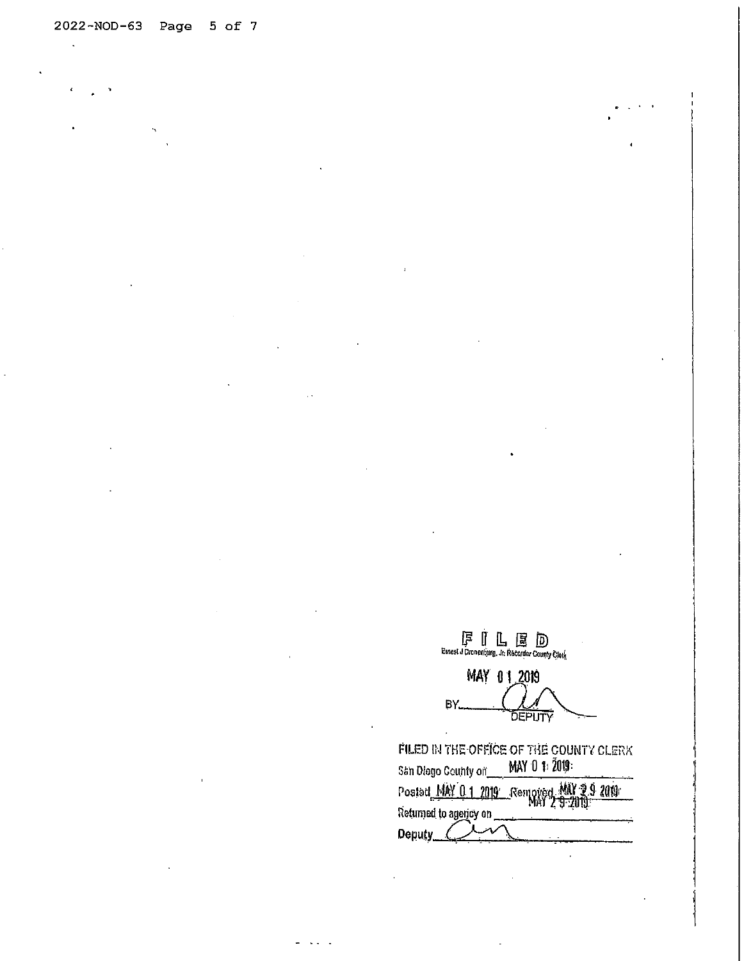$\overline{a}$ 

MAY 01, 2019  $BY_{\text{max}}$ DEPUTY FILED IN THE OFFICE OF THE COUNTY CLERK<br>San Diego County of **MAY 0** 1: 2019:

| ani wiada azidi da an<br>Postad MAY 0.1 2019 Removed MAY 2.9 2019 |  |
|-------------------------------------------------------------------|--|
| teturned to agency on                                             |  |
| <b>Deputy</b>                                                     |  |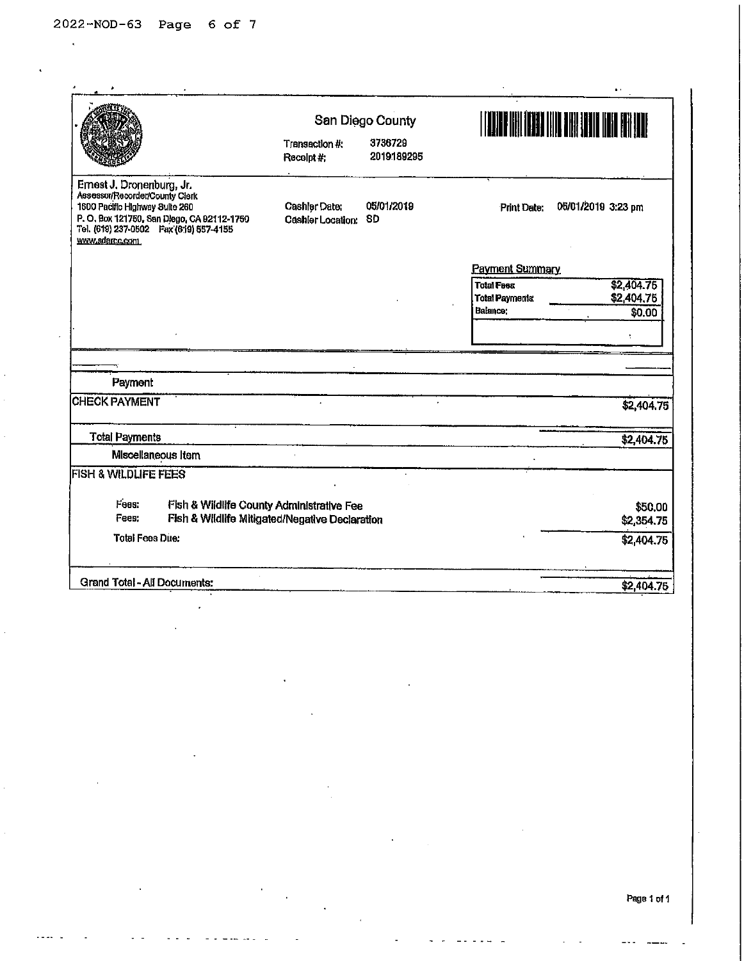$\ddot{\phantom{a}}$ 

|                                                                                                                                                                                                          |                                           | San Diego County      |                        |                    |  |
|----------------------------------------------------------------------------------------------------------------------------------------------------------------------------------------------------------|-------------------------------------------|-----------------------|------------------------|--------------------|--|
|                                                                                                                                                                                                          | Transaction #:<br>Receipt #:              | 3736729<br>2019189295 |                        |                    |  |
| Ernest J. Dronenburg, Jr.<br>Assessor/Recorder/County Clerk<br>1600 Pacific Highway Suite 260<br>P.O. Box 121750, San Diego, CA 92112-1750<br>Tel. (619) 237-0502  Fax (619) 557-4155<br>www.sdarcc.com. | <b>Cashler Date:</b><br>Cashler Location: | 05/01/2019<br>SD      | <b>Print Date:</b>     | 05/01/2019 3:23 pm |  |
|                                                                                                                                                                                                          |                                           |                       | <b>Payment Summary</b> |                    |  |
|                                                                                                                                                                                                          |                                           |                       | <b>Total FBBS</b>      | \$2,404.75         |  |
|                                                                                                                                                                                                          |                                           |                       | <b>Total Payments:</b> | \$2,404.75         |  |
|                                                                                                                                                                                                          |                                           |                       | Balance:               | \$0.00             |  |
|                                                                                                                                                                                                          |                                           |                       |                        |                    |  |
|                                                                                                                                                                                                          |                                           |                       |                        |                    |  |
| Payment                                                                                                                                                                                                  |                                           |                       |                        |                    |  |
| <b>CHECK PAYMENT</b>                                                                                                                                                                                     |                                           |                       |                        | \$2,404.75         |  |
| <b>Total Payments</b>                                                                                                                                                                                    |                                           |                       |                        | \$2,404.75         |  |
| Miscellaneous Item                                                                                                                                                                                       |                                           |                       |                        |                    |  |
| <b>FISH &amp; WILDLIFE FEES</b>                                                                                                                                                                          |                                           |                       |                        |                    |  |
| Fees:<br>Fish & Wildlife County Administrative Fee                                                                                                                                                       |                                           |                       |                        | \$50,00            |  |
| Fees:<br>Fish & Wildlife Mitigated/Negative Declaration                                                                                                                                                  |                                           |                       |                        | \$2,354.75         |  |
| <b>Total Fees Due:</b>                                                                                                                                                                                   |                                           |                       |                        | \$2,404.75         |  |
|                                                                                                                                                                                                          |                                           |                       |                        |                    |  |
| Grand Total - All Documents:                                                                                                                                                                             |                                           |                       |                        | \$2,404.75         |  |

 $\ddot{\phantom{a}}$ 

Page 1 of 1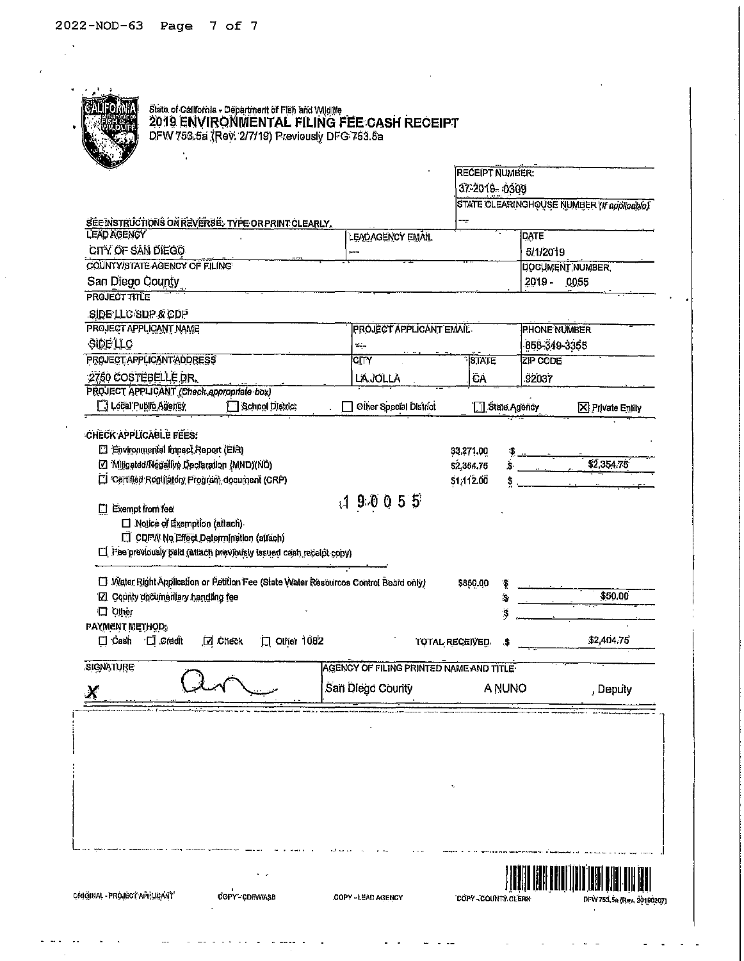$\frac{\mathbf{x}}{\mathbf{y}}$ 

 $\bar{r}$ 

 $\hat{\mathcal{L}}$ 

|                                                                                                                                                              |                                         | 37-2019-0309            | STATE CLEARINGHOUSE NUMBER (If applicable) |  |
|--------------------------------------------------------------------------------------------------------------------------------------------------------------|-----------------------------------------|-------------------------|--------------------------------------------|--|
| SEE INSTRUCTIONS ON REVERSE. TYPE OR PRINT CLEARLY,                                                                                                          |                                         |                         |                                            |  |
| <b>LEAD AGENCY</b>                                                                                                                                           | LEAD AGENCY EMAIL                       |                         | <b>DATE</b>                                |  |
| CITY OF SAN DIEGO                                                                                                                                            |                                         |                         | 5/1/2019                                   |  |
| COUNTY/STATE AGENCY OF FILING                                                                                                                                |                                         |                         | <b>DOCUMENT NUMBER</b>                     |  |
| San Diego County                                                                                                                                             |                                         |                         | 2019 - 0055                                |  |
| <b>PROJECT TITLE</b>                                                                                                                                         |                                         |                         |                                            |  |
| SIDE LLC SDP & CDP                                                                                                                                           |                                         |                         |                                            |  |
| PROJECT APPLICANT NAME<br>SIDE LLC                                                                                                                           | <b>PROJECT APPLICANT EMAIL</b>          |                         | <b>PHONE NUMBER</b>                        |  |
| PROJECT APPLICANT ADDRESS                                                                                                                                    | چنگ<br>$\overline{C\vert \Gamma Y}$     | <b>STATE</b>            | 858-349-3355<br>ZIP CODE                   |  |
| 2750 COSTEBELLE DR.                                                                                                                                          | <b>LAJOLLA</b>                          | ĈÁ                      | 92037                                      |  |
| PROJECT APPLICANT (Check appropriate box)                                                                                                                    |                                         |                         |                                            |  |
| 3 Local Public Agency<br>School District                                                                                                                     | Other Special District                  | State Agency            | <b>X</b> Private Entity                    |  |
| [ Fee previously paid (attach previously issued cash receipt copy)<br>[7] Water Right Application or Petition Fee (State Water Resources Control Board only) |                                         | \$850.00<br>Ŧ           |                                            |  |
| [Z] County documentary handling fee                                                                                                                          |                                         | Ś,                      | \$50.00                                    |  |
| 口 Other                                                                                                                                                      |                                         | S                       |                                            |  |
| <b>PAYMENT METHOD:</b><br>口 Other 1082<br>口 Credit<br>$\square$ Cash<br>D Check                                                                              |                                         | TOTAL RECEIVED.<br>- 36 | \$2,404.75                                 |  |
| <b>SIGNATURE</b>                                                                                                                                             | AGENCY OF FILING PRINTED NAME AND TITLE |                         |                                            |  |
|                                                                                                                                                              | San Diego County                        | A NUNO                  | , Deputy                                   |  |
|                                                                                                                                                              |                                         |                         |                                            |  |
|                                                                                                                                                              |                                         |                         |                                            |  |
|                                                                                                                                                              |                                         |                         |                                            |  |
|                                                                                                                                                              |                                         |                         |                                            |  |
|                                                                                                                                                              |                                         |                         |                                            |  |
|                                                                                                                                                              |                                         |                         |                                            |  |
|                                                                                                                                                              |                                         |                         |                                            |  |

 $\omega$  . The set  $\omega$ 

 $\sim$  -----  $\sim$ 

 $\omega_{\rm{max}}$ 

 $\sim$ 

 $\ddot{ }$ 

 $\frac{1}{2} \left( \frac{1}{2} \ln \frac{1}{2} \right) = \frac{1}{2} \ln \frac{1}{2}$ 

 $\sim 10^6$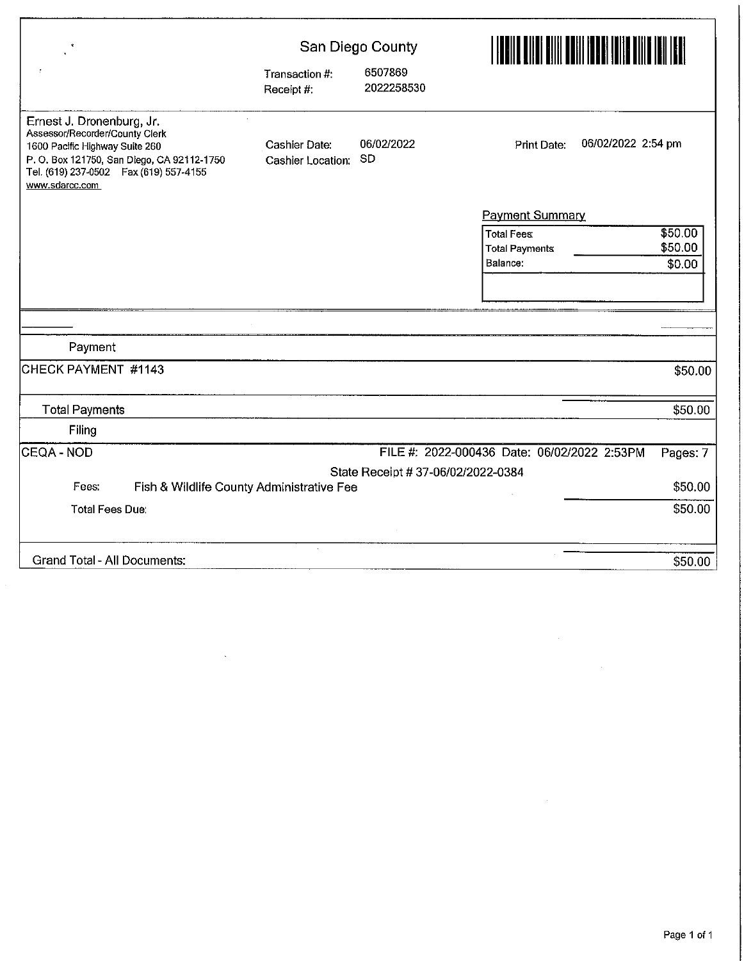| $\mathbf{R}$                                                                                                                                                                                            |                                    | San Diego County                   | <u>HELLIN ON HAN HAN HELL</u>               |          |  |  |
|---------------------------------------------------------------------------------------------------------------------------------------------------------------------------------------------------------|------------------------------------|------------------------------------|---------------------------------------------|----------|--|--|
|                                                                                                                                                                                                         | Transaction #:<br>Receipt #:       | 6507869<br>2022258530              |                                             |          |  |  |
| Ernest J. Dronenburg, Jr.<br>Assessor/Recorder/County Clerk<br>1600 Pacific Highway Suite 260<br>P.O. Box 121750, San Diego, CA 92112-1750<br>Tel. (619) 237-0502  Fax (619) 557-4155<br>www.sdarcc.com | Cashier Date:<br>Cashier Location: | 06/02/2022<br><b>SD</b>            | 06/02/2022 2:54 pm<br>Print Date:           |          |  |  |
|                                                                                                                                                                                                         |                                    |                                    | <b>Payment Summary</b>                      |          |  |  |
|                                                                                                                                                                                                         |                                    |                                    | <b>Total Fees:</b>                          | \$50.00  |  |  |
|                                                                                                                                                                                                         |                                    |                                    | <b>Total Payments</b>                       | \$50.00  |  |  |
|                                                                                                                                                                                                         |                                    |                                    | Balance:                                    | \$0.00   |  |  |
|                                                                                                                                                                                                         |                                    |                                    |                                             |          |  |  |
|                                                                                                                                                                                                         |                                    |                                    |                                             |          |  |  |
|                                                                                                                                                                                                         |                                    |                                    |                                             |          |  |  |
| Payment                                                                                                                                                                                                 |                                    |                                    |                                             |          |  |  |
| CHECK PAYMENT #1143                                                                                                                                                                                     |                                    |                                    |                                             | \$50.00  |  |  |
| <b>Total Payments</b>                                                                                                                                                                                   |                                    |                                    |                                             | \$50.00  |  |  |
| Filing                                                                                                                                                                                                  |                                    |                                    |                                             |          |  |  |
| CEQA - NOD                                                                                                                                                                                              |                                    |                                    | FILE #: 2022-000436 Date: 06/02/2022 2:53PM | Pages: 7 |  |  |
|                                                                                                                                                                                                         |                                    | State Receipt # 37-06/02/2022-0384 |                                             |          |  |  |
| Fees.<br>Fish & Wildlife County Administrative Fee                                                                                                                                                      |                                    |                                    |                                             | \$50.00  |  |  |
| <b>Total Fees Due:</b>                                                                                                                                                                                  |                                    |                                    |                                             | \$50.00  |  |  |
|                                                                                                                                                                                                         |                                    |                                    |                                             |          |  |  |
| <b>Grand Total - All Documents:</b>                                                                                                                                                                     |                                    |                                    |                                             | \$50.00  |  |  |

 $\sim 10^{11}$  km s  $^{-1}$ 

 $\hat{\mathcal{E}}$